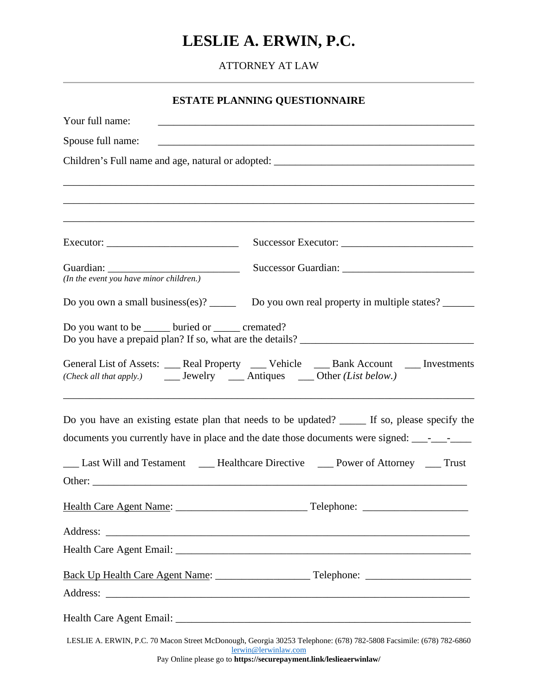# **LESLIE A. ERWIN, P.C.**

ATTORNEY AT LAW

| <u> 1980 - Johann John Stone, markin film yn y brenin y brenin y brenin y brenin y brenin y brenin y brenin y br</u><br><u> 1980 - Johann Barn, mars ann an t-Amhain an t-Amhain an t-Amhain an t-Amhain an t-Amhain an t-Amhain an t-Amh</u><br>Executor: $\frac{1}{\sqrt{1-\frac{1}{2}} \cdot \frac{1}{2}}$<br>Do you own a small business(es)? ______ Do you own real property in multiple states? ______<br>Do you want to be ______ buried or ______ cremated?<br>General List of Assets: ___ Real Property ___ Vehicle ___ Bank Account ___ Investments<br>Other: | <b>ESTATE PLANNING QUESTIONNAIRE</b>                 |  |
|-------------------------------------------------------------------------------------------------------------------------------------------------------------------------------------------------------------------------------------------------------------------------------------------------------------------------------------------------------------------------------------------------------------------------------------------------------------------------------------------------------------------------------------------------------------------------|------------------------------------------------------|--|
| Children's Full name and age, natural or adopted: _______________________________<br>Do you have an existing estate plan that needs to be updated? _____ If so, please specify the                                                                                                                                                                                                                                                                                                                                                                                      | Your full name:                                      |  |
|                                                                                                                                                                                                                                                                                                                                                                                                                                                                                                                                                                         | Spouse full name:                                    |  |
|                                                                                                                                                                                                                                                                                                                                                                                                                                                                                                                                                                         |                                                      |  |
|                                                                                                                                                                                                                                                                                                                                                                                                                                                                                                                                                                         |                                                      |  |
|                                                                                                                                                                                                                                                                                                                                                                                                                                                                                                                                                                         |                                                      |  |
|                                                                                                                                                                                                                                                                                                                                                                                                                                                                                                                                                                         |                                                      |  |
|                                                                                                                                                                                                                                                                                                                                                                                                                                                                                                                                                                         |                                                      |  |
|                                                                                                                                                                                                                                                                                                                                                                                                                                                                                                                                                                         | Guardian:<br>(In the event you have minor children.) |  |
|                                                                                                                                                                                                                                                                                                                                                                                                                                                                                                                                                                         |                                                      |  |
|                                                                                                                                                                                                                                                                                                                                                                                                                                                                                                                                                                         |                                                      |  |
|                                                                                                                                                                                                                                                                                                                                                                                                                                                                                                                                                                         |                                                      |  |
|                                                                                                                                                                                                                                                                                                                                                                                                                                                                                                                                                                         |                                                      |  |
|                                                                                                                                                                                                                                                                                                                                                                                                                                                                                                                                                                         |                                                      |  |
|                                                                                                                                                                                                                                                                                                                                                                                                                                                                                                                                                                         |                                                      |  |
|                                                                                                                                                                                                                                                                                                                                                                                                                                                                                                                                                                         |                                                      |  |
|                                                                                                                                                                                                                                                                                                                                                                                                                                                                                                                                                                         |                                                      |  |
|                                                                                                                                                                                                                                                                                                                                                                                                                                                                                                                                                                         |                                                      |  |
|                                                                                                                                                                                                                                                                                                                                                                                                                                                                                                                                                                         |                                                      |  |
| LESLIE A. ERWIN, P.C. 70 Macon Street McDonough, Georgia 30253 Telephone: (678) 782-5808 Facsimile: (678) 782-6860                                                                                                                                                                                                                                                                                                                                                                                                                                                      |                                                      |  |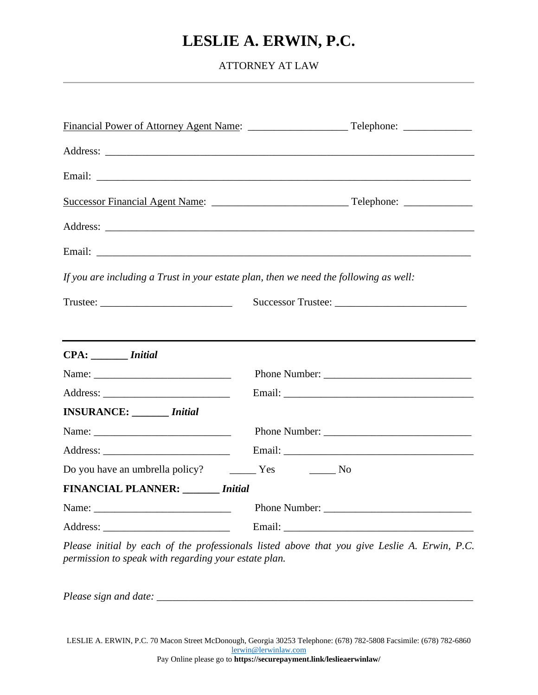## **LESLIE A. ERWIN, P.C.**

ATTORNEY AT LAW

|                                                                                                                                                                                                                                                                                                                                                                                                                                                                                                                                                                 | Email: <u>Discovered</u> Construction of the construction of the construction of the construction of the construction of the construction of the construction of the construction of the construction of the construction of the co                                                                                                |
|-----------------------------------------------------------------------------------------------------------------------------------------------------------------------------------------------------------------------------------------------------------------------------------------------------------------------------------------------------------------------------------------------------------------------------------------------------------------------------------------------------------------------------------------------------------------|------------------------------------------------------------------------------------------------------------------------------------------------------------------------------------------------------------------------------------------------------------------------------------------------------------------------------------|
|                                                                                                                                                                                                                                                                                                                                                                                                                                                                                                                                                                 |                                                                                                                                                                                                                                                                                                                                    |
|                                                                                                                                                                                                                                                                                                                                                                                                                                                                                                                                                                 |                                                                                                                                                                                                                                                                                                                                    |
|                                                                                                                                                                                                                                                                                                                                                                                                                                                                                                                                                                 | Email: <u>Discovered</u> Construction of the construction of the construction of the construction of the construction of the construction of the construction of the construction of the construction of the construction of the co                                                                                                |
|                                                                                                                                                                                                                                                                                                                                                                                                                                                                                                                                                                 | If you are including a Trust in your estate plan, then we need the following as well:                                                                                                                                                                                                                                              |
| $\text{Trustee:}\n \underline{\hspace{2cm}}\n \underline{\hspace{2cm}}\n \underline{\hspace{2cm}}\n \underline{\hspace{2cm}}\n \underline{\hspace{2cm}}\n \underline{\hspace{2cm}}\n \underline{\hspace{2cm}}\n \underline{\hspace{2cm}}\n \underline{\hspace{2cm}}\n \underline{\hspace{2cm}}\n \underline{\hspace{2cm}}\n \underline{\hspace{2cm}}\n \underline{\hspace{2cm}}\n \underline{\hspace{2cm}}\n \underline{\hspace{2cm}}\n \underline{\hspace{2cm}}\n \underline{\hspace{2cm}}\n \underline{\hspace{2cm}}\n \underline{\hspace{2cm}}\n \underline$ |                                                                                                                                                                                                                                                                                                                                    |
|                                                                                                                                                                                                                                                                                                                                                                                                                                                                                                                                                                 |                                                                                                                                                                                                                                                                                                                                    |
| CPA: <i>Initial</i>                                                                                                                                                                                                                                                                                                                                                                                                                                                                                                                                             |                                                                                                                                                                                                                                                                                                                                    |
| Name: Name and the service of the service of the service of the service of the service of the service of the service of the service of the service of the service of the service of the service of the service of the service                                                                                                                                                                                                                                                                                                                                   |                                                                                                                                                                                                                                                                                                                                    |
|                                                                                                                                                                                                                                                                                                                                                                                                                                                                                                                                                                 |                                                                                                                                                                                                                                                                                                                                    |
| <b>INSURANCE:</b> <i>Initial</i>                                                                                                                                                                                                                                                                                                                                                                                                                                                                                                                                |                                                                                                                                                                                                                                                                                                                                    |
| Name: Name and the state of the state of the state of the state of the state of the state of the state of the state of the state of the state of the state of the state of the state of the state of the state of the state of                                                                                                                                                                                                                                                                                                                                  |                                                                                                                                                                                                                                                                                                                                    |
|                                                                                                                                                                                                                                                                                                                                                                                                                                                                                                                                                                 |                                                                                                                                                                                                                                                                                                                                    |
| Do you have an umbrella policy? The Mess Theory No                                                                                                                                                                                                                                                                                                                                                                                                                                                                                                              |                                                                                                                                                                                                                                                                                                                                    |
| <b>FINANCIAL PLANNER:</b> <i>Initial</i>                                                                                                                                                                                                                                                                                                                                                                                                                                                                                                                        |                                                                                                                                                                                                                                                                                                                                    |
|                                                                                                                                                                                                                                                                                                                                                                                                                                                                                                                                                                 |                                                                                                                                                                                                                                                                                                                                    |
|                                                                                                                                                                                                                                                                                                                                                                                                                                                                                                                                                                 |                                                                                                                                                                                                                                                                                                                                    |
|                                                                                                                                                                                                                                                                                                                                                                                                                                                                                                                                                                 | $\mathbf{p}$ $\mathbf{p}$ $\mathbf{p}$ $\mathbf{p}$ $\mathbf{p}$ $\mathbf{p}$ $\mathbf{p}$ $\mathbf{p}$ $\mathbf{p}$ $\mathbf{p}$ $\mathbf{p}$ $\mathbf{p}$ $\mathbf{p}$ $\mathbf{p}$ $\mathbf{p}$ $\mathbf{p}$ $\mathbf{p}$ $\mathbf{p}$ $\mathbf{p}$ $\mathbf{p}$ $\mathbf{p}$ $\mathbf{p}$ $\mathbf{p}$ $\mathbf{p}$ $\mathbf{$ |

*Please initial by each of the professionals listed above that you give Leslie A. Erwin, P.C. permission to speak with regarding your estate plan.*

*Please sign and date: \_\_\_\_\_\_\_\_\_\_\_\_\_\_\_\_\_\_\_\_\_\_\_\_\_\_\_\_\_\_\_\_\_\_\_\_\_\_\_\_\_\_\_\_\_\_\_\_\_\_\_\_\_\_\_\_\_\_\_\_*

LESLIE A. ERWIN, P.C. 70 Macon Street McDonough, Georgia 30253 Telephone: (678) 782-5808 Facsimile: (678) 782-6860 [lerwin@lerwinlaw.com](mailto:lerwin@lerwinlaw.com)